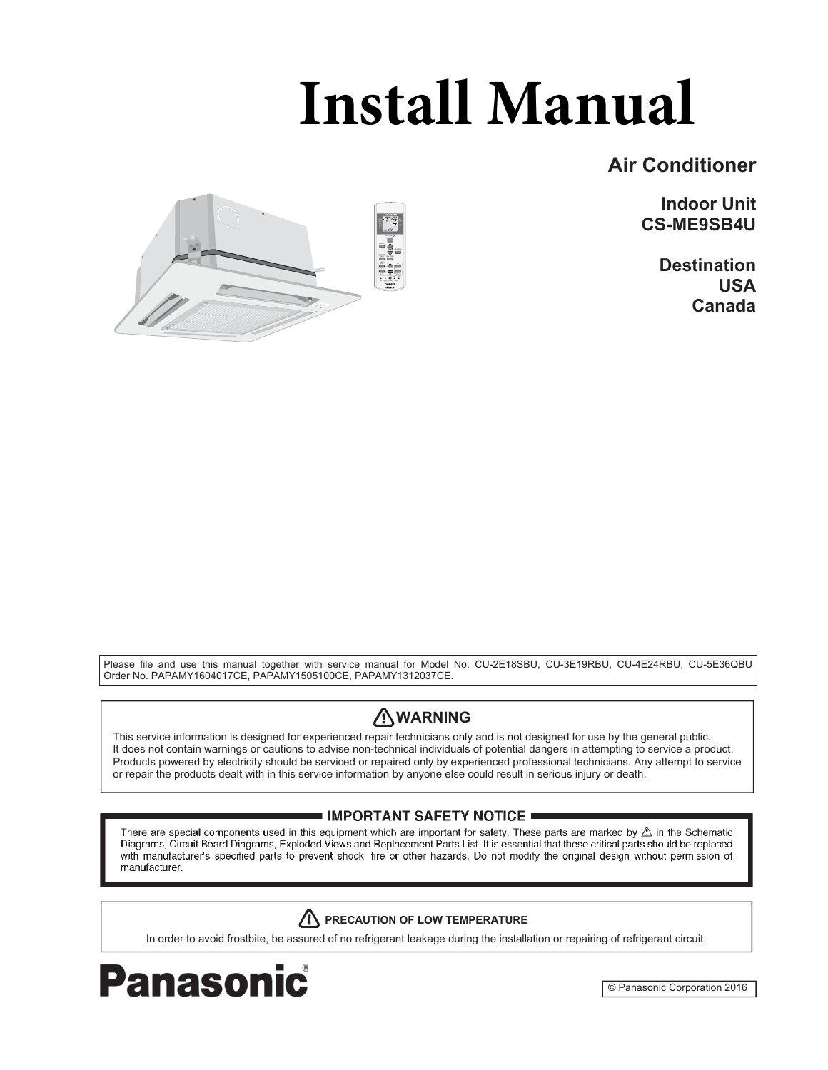# **Install Manual**

# **Air Conditioner**

**Indoor Unit CS-ME9SB4U**

> **Destination USA Canada**



Please file and use this manual together with service manual for Model No. CU-2E18SBU, CU-3E19RBU, CU-4E24RBU, CU-5E36QBU Order No. PAPAMY1604017CE, PAPAMY1505100CE, PAPAMY1312037CE.

# **WARNING**

This service information is designed for experienced repair technicians only and is not designed for use by the general public. It does not contain warnings or cautions to advise non-technical individuals of potential dangers in attempting to service a product. Products powered by electricity should be serviced or repaired only by experienced professional technicians. Any attempt to service or repair the products dealt with in this service information by anyone else could result in serious injury or death.

## IMPORTANT SAFETY NOTICE =

There are special components used in this equipment which are important for safety. These parts are marked by  $\triangle$  in the Schematic Diagrams, Circuit Board Diagrams, Exploded Views and Replacement Parts List. It is essential that these critical parts should be replaced with manufacturer's specified parts to prevent shock, fire or other hazards. Do not modify the original design without permission of manufacturer.

# **/! PRECAUTION OF LOW TEMPERATURE**

In order to avoid frostbite, be assured of no refrigerant leakage during the installation or repairing of refrigerant circuit.



© Panasonic Corporation 2016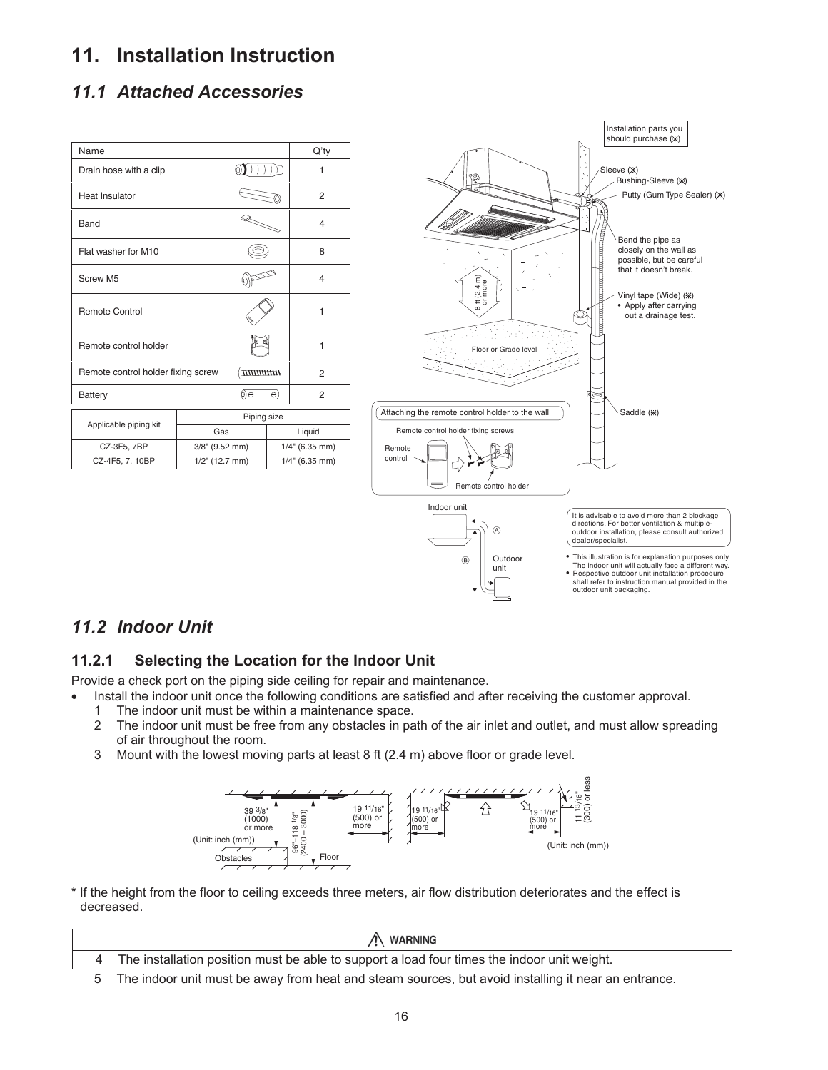# **11. Installation Instruction**

# *11.1 Attached Accessories*

| Name                               |                   |                |                   | Q'ty   |
|------------------------------------|-------------------|----------------|-------------------|--------|
| Drain hose with a clip             |                   |                |                   | 1      |
| <b>Heat Insulator</b>              |                   |                |                   | 2      |
| Band                               |                   |                |                   | 4      |
| Flat washer for M10                |                   |                |                   | 8      |
| Screw M5                           |                   |                | 4                 |        |
| <b>Remote Control</b>              |                   |                | 1                 |        |
| Remote control holder              |                   |                |                   | 1      |
| Remote control holder fixing screw |                   | $\frac{1}{2}$  |                   | 2      |
| Battery                            |                   | ⊚⊕<br>$\Theta$ |                   | 2      |
|                                    | Piping size       |                |                   |        |
| Applicable piping kit              | Gas               |                |                   | Liquid |
| CZ-3F5, 7BP                        | $3/8$ " (9.52 mm) |                | $1/4$ " (6.35 mm) |        |
| CZ-4F5, 7, 10BP                    | $1/2$ " (12.7 mm) |                | $1/4$ " (6.35 mm) |        |



# *11.2 Indoor Unit*

# **11.2.1 Selecting the Location for the Indoor Unit**

Provide a check port on the piping side ceiling for repair and maintenance.

- Install the indoor unit once the following conditions are satisfied and after receiving the customer approval. 1 The indoor unit must be within a maintenance space.
	-
	- 2 The indoor unit must be free from any obstacles in path of the air inlet and outlet, and must allow spreading of air throughout the room.
	- 3 Mount with the lowest moving parts at least 8 ft (2.4 m) above floor or grade level.



\* If the height from the floor to ceiling exceeds three meters, air flow distribution deteriorates and the effect is decreased.

| A WARNING                                                                                           |
|-----------------------------------------------------------------------------------------------------|
| The installation position must be able to support a load four times the indoor unit weight.         |
| The indoor unit must be away from heat and steam sources, but avoid installing it near an entrance. |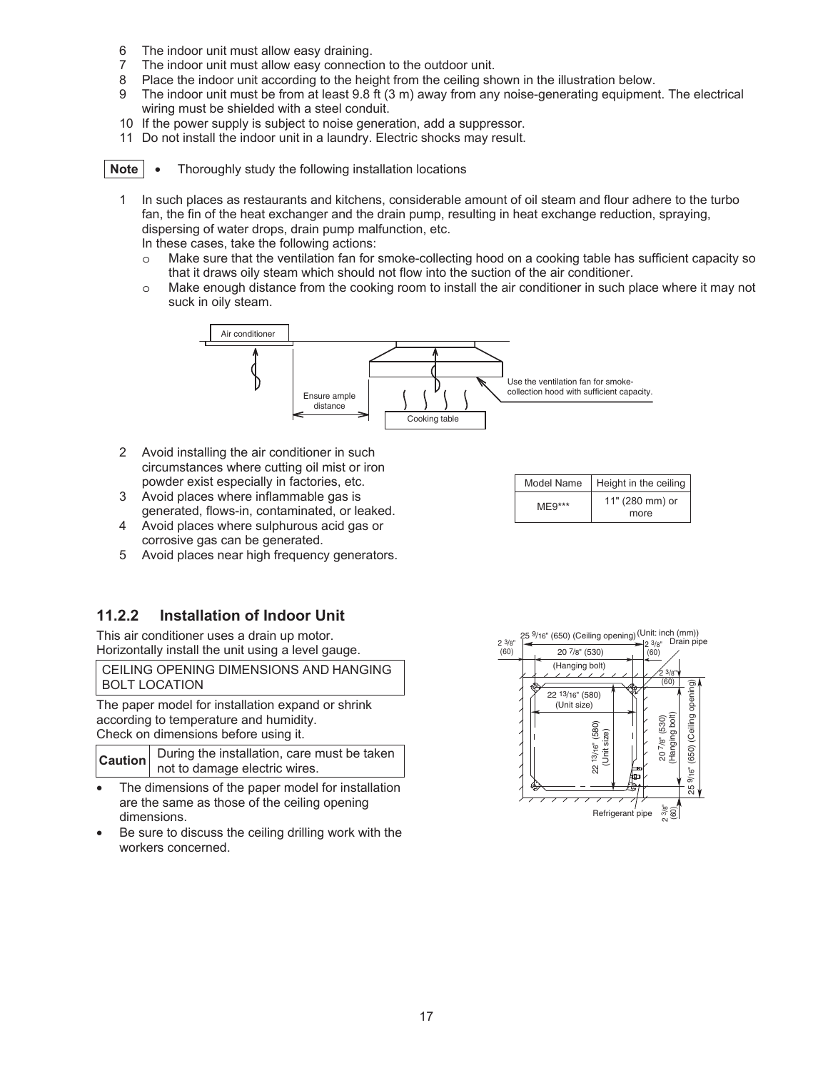- 6 The indoor unit must allow easy draining.
- 7 The indoor unit must allow easy connection to the outdoor unit.
- 8 Place the indoor unit according to the height from the ceiling shown in the illustration below.
- 9 The indoor unit must be from at least 9.8 ft (3 m) away from any noise-generating equipment. The electrical wiring must be shielded with a steel conduit.
- 10 If the power supply is subject to noise generation, add a suppressor.
- 11 Do not install the indoor unit in a laundry. Electric shocks may result.

**Note**  $\bullet$  Thoroughly study the following installation locations

1 In such places as restaurants and kitchens, considerable amount of oil steam and flour adhere to the turbo fan, the fin of the heat exchanger and the drain pump, resulting in heat exchange reduction, spraying, dispersing of water drops, drain pump malfunction, etc.

In these cases, take the following actions:

- o Make sure that the ventilation fan for smoke-collecting hood on a cooking table has sufficient capacity so that it draws oily steam which should not flow into the suction of the air conditioner.
- o Make enough distance from the cooking room to install the air conditioner in such place where it may not suck in oily steam.



- 2 Avoid installing the air conditioner in such circumstances where cutting oil mist or iron powder exist especially in factories, etc.
- 3 Avoid places where inflammable gas is generated, flows-in, contaminated, or leaked.
- 4 Avoid places where sulphurous acid gas or corrosive gas can be generated.
- 5 Avoid places near high frequency generators.

## **11.2.2 Installation of Indoor Unit**

This air conditioner uses a drain up motor. Horizontally install the unit using a level gauge.

CEILING OPENING DIMENSIONS AND HANGING BOLT LOCATION

The paper model for installation expand or shrink according to temperature and humidity. Check on dimensions before using it.

|  | <b>Caution</b> During the installation, care must be taken not to damage electric wires. |
|--|------------------------------------------------------------------------------------------|
|  |                                                                                          |

- The dimensions of the paper model for installation are the same as those of the ceiling opening dimensions.
- Be sure to discuss the ceiling drilling work with the workers concerned.

| Model Name | Height in the ceiling   |
|------------|-------------------------|
| $MF9***$   | 11" (280 mm) or<br>more |
|            |                         |

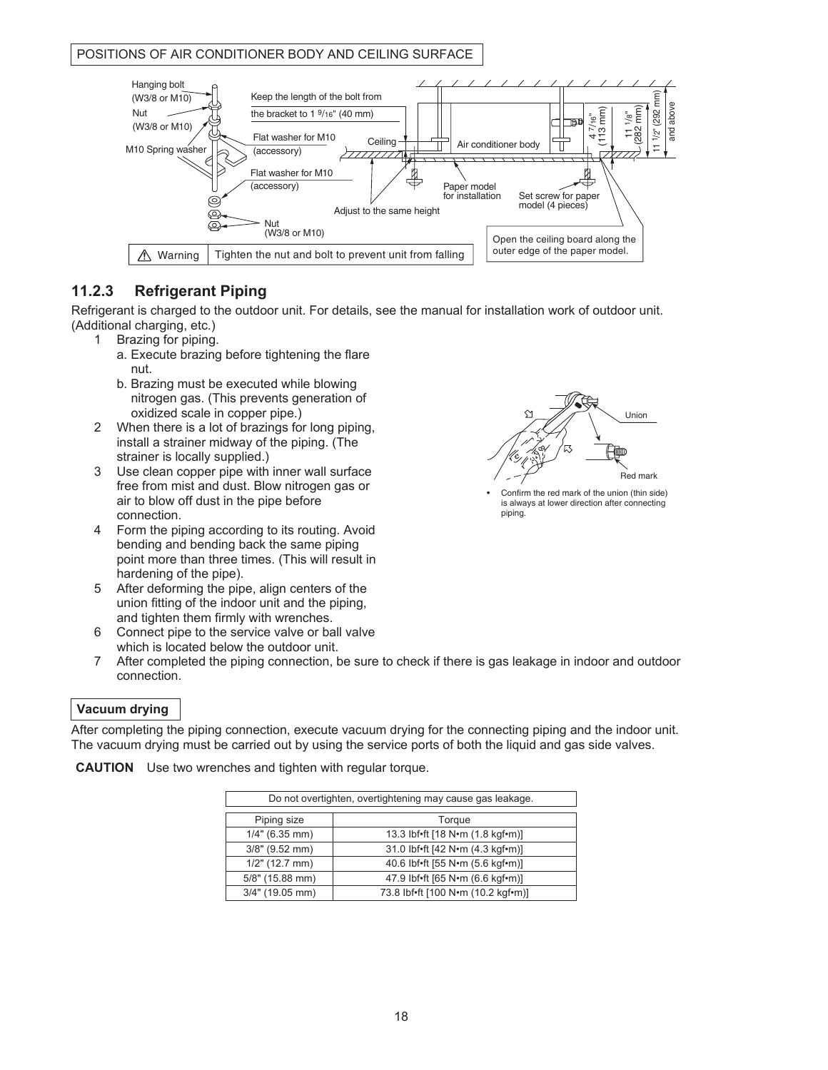#### POSITIONS OF AIR CONDITIONER BODY AND CEILING SURFACE



## **11.2.3 Refrigerant Piping**

Refrigerant is charged to the outdoor unit. For details, see the manual for installation work of outdoor unit. (Additional charging, etc.)

- 1 Brazing for piping.
	- a. Execute brazing before tightening the flare nut.
	- b. Brazing must be executed while blowing nitrogen gas. (This prevents generation of oxidized scale in copper pipe.)
- 2 When there is a lot of brazings for long piping, install a strainer midway of the piping. (The strainer is locally supplied.)
- 3 Use clean copper pipe with inner wall surface free from mist and dust. Blow nitrogen gas or air to blow off dust in the pipe before connection.
- 4 Form the piping according to its routing. Avoid bending and bending back the same piping point more than three times. (This will result in hardening of the pipe).
- 5 After deforming the pipe, align centers of the union fitting of the indoor unit and the piping, and tighten them firmly with wrenches.
- 6 Connect pipe to the service valve or ball valve which is located below the outdoor unit.
- 7 After completed the piping connection, be sure to check if there is gas leakage in indoor and outdoor connection.

#### **Vacuum drying**

After completing the piping connection, execute vacuum drying for the connecting piping and the indoor unit. The vacuum drying must be carried out by using the service ports of both the liquid and gas side valves.

**CAUTION** Use two wrenches and tighten with regular torque.

| Do not overtighten, overtightening may cause gas leakage. |                                    |  |
|-----------------------------------------------------------|------------------------------------|--|
| Piping size                                               | Torque                             |  |
| $1/4"$ (6.35 mm)                                          | 13.3 lbf•ft [18 N•m (1.8 kgf•m)]   |  |
| $3/8"$ (9.52 mm)                                          | 31.0 lbf.ft [42 N.m (4.3 kgf.m)]   |  |
| $1/2"$ (12.7 mm)                                          | 40.6 lbf•ft [55 N•m (5.6 kgf•m)]   |  |
| 5/8" (15.88 mm)                                           | 47.9 lbf.ft [65 N.m (6.6 kgf.m)]   |  |
| $3/4"$ (19.05 mm)                                         | 73.8 lbf*ft [100 N*m (10.2 kgf*m)] |  |



• Confirm the red mark of the union (thin side) is always at lower direction after connecting piping.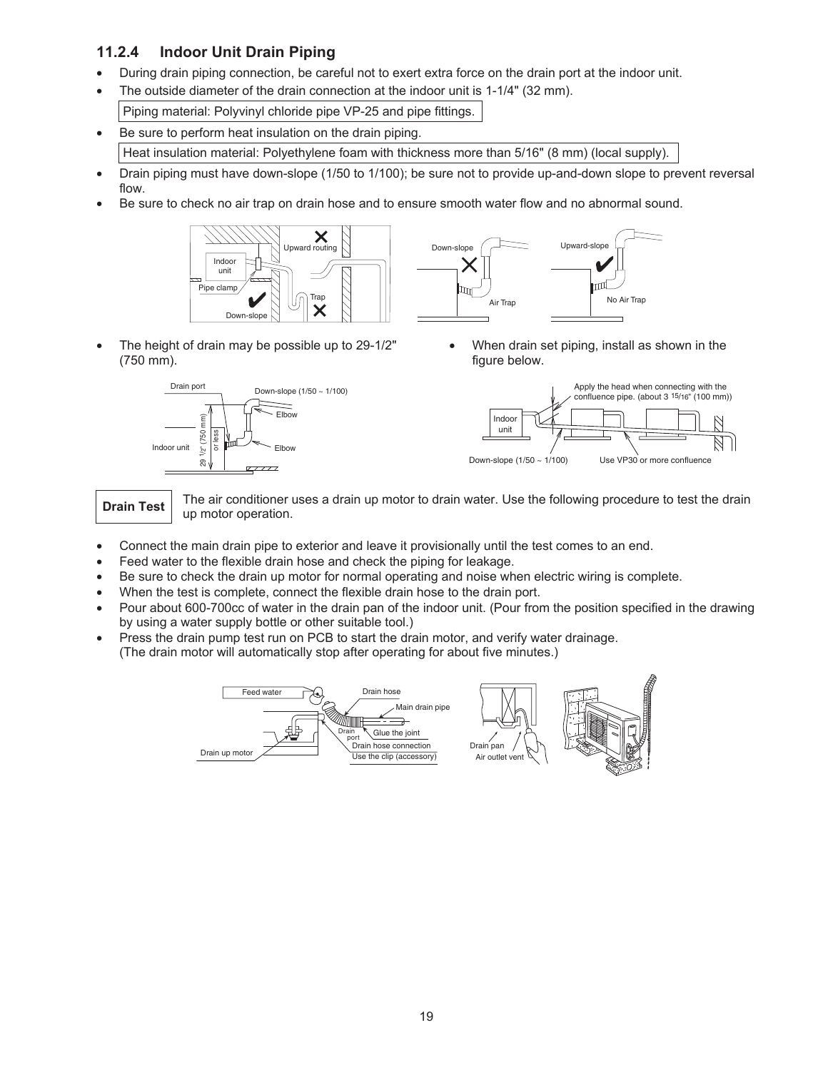# **11.2.4 Indoor Unit Drain Piping**

- During drain piping connection, be careful not to exert extra force on the drain port at the indoor unit.
- The outside diameter of the drain connection at the indoor unit is 1-1/4" (32 mm). Piping material: Polyvinyl chloride pipe VP-25 and pipe fittings.
- Be sure to perform heat insulation on the drain piping. Heat insulation material: Polyethylene foam with thickness more than 5/16" (8 mm) (local supply).
- Drain piping must have down-slope (1/50 to 1/100); be sure not to provide up-and-down slope to prevent reversal flow.
- Be sure to check no air trap on drain hose and to ensure smooth water flow and no abnormal sound.





 The height of drain may be possible up to 29-1/2" (750 mm).



 When drain set piping, install as shown in the figure below.



**Drain Test** The air conditioner uses a drain up motor to drain water. Use the following procedure to test the drain up motor operation.

- Connect the main drain pipe to exterior and leave it provisionally until the test comes to an end.
- Feed water to the flexible drain hose and check the piping for leakage.
- Be sure to check the drain up motor for normal operating and noise when electric wiring is complete.
- When the test is complete, connect the flexible drain hose to the drain port.
- Pour about 600-700cc of water in the drain pan of the indoor unit. (Pour from the position specified in the drawing by using a water supply bottle or other suitable tool.)
- Press the drain pump test run on PCB to start the drain motor, and verify water drainage. (The drain motor will automatically stop after operating for about five minutes.)

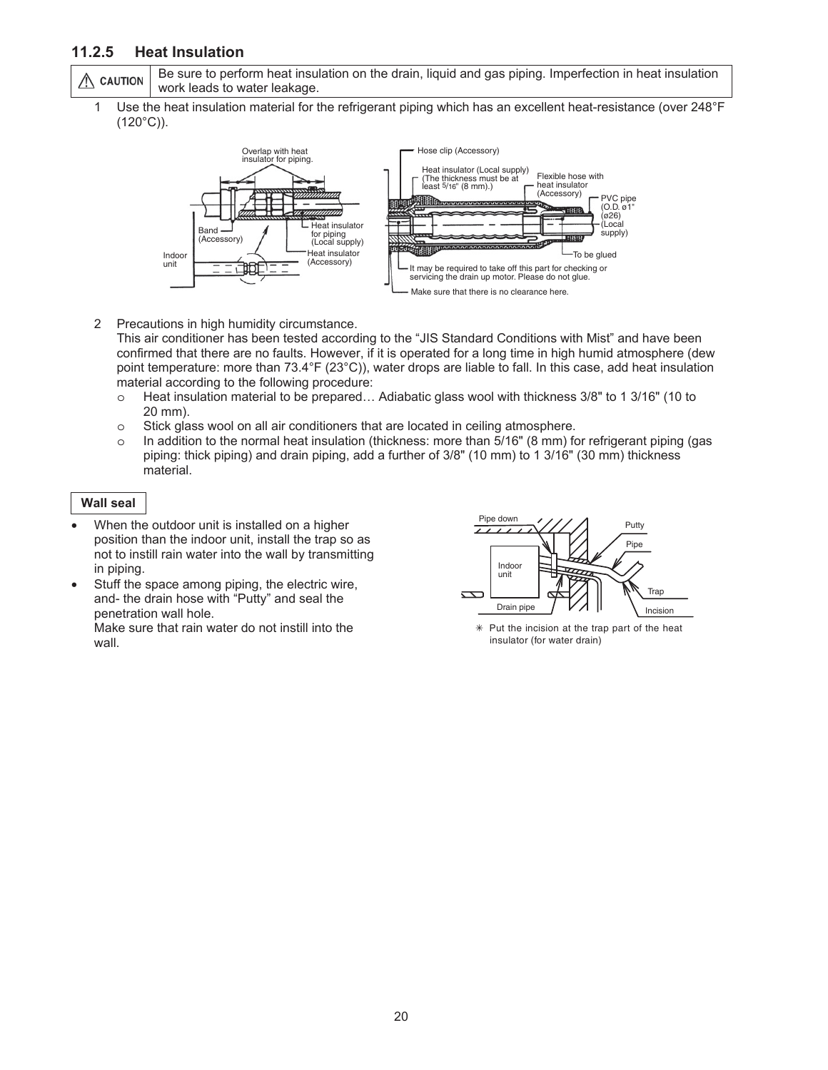## **11.2.5 Heat Insulation**

Be sure to perform heat insulation on the drain, liquid and gas piping. Imperfection in heat insulation  $\wedge$  caution work leads to water leakage.

1 Use the heat insulation material for the refrigerant piping which has an excellent heat-resistance (over 248°F  $(120^{\circ}C)$ ).



2 Precautions in high humidity circumstance.

This air conditioner has been tested according to the "JIS Standard Conditions with Mist" and have been confirmed that there are no faults. However, if it is operated for a long time in high humid atmosphere (dew point temperature: more than 73.4°F (23°C)), water drops are liable to fall. In this case, add heat insulation material according to the following procedure:

- o Heat insulation material to be prepared… Adiabatic glass wool with thickness 3/8" to 1 3/16" (10 to 20 mm).
- o Stick glass wool on all air conditioners that are located in ceiling atmosphere.
- o In addition to the normal heat insulation (thickness: more than 5/16" (8 mm) for refrigerant piping (gas piping: thick piping) and drain piping, add a further of 3/8" (10 mm) to 1 3/16" (30 mm) thickness material.

#### **Wall seal**

- When the outdoor unit is installed on a higher position than the indoor unit, install the trap so as not to instill rain water into the wall by transmitting in piping.
- Stuff the space among piping, the electric wire, and- the drain hose with "Putty" and seal the penetration wall hole. Make sure that rain water do not instill into the wall.



 $*$  Put the incision at the trap part of the heat insulator (for water drain)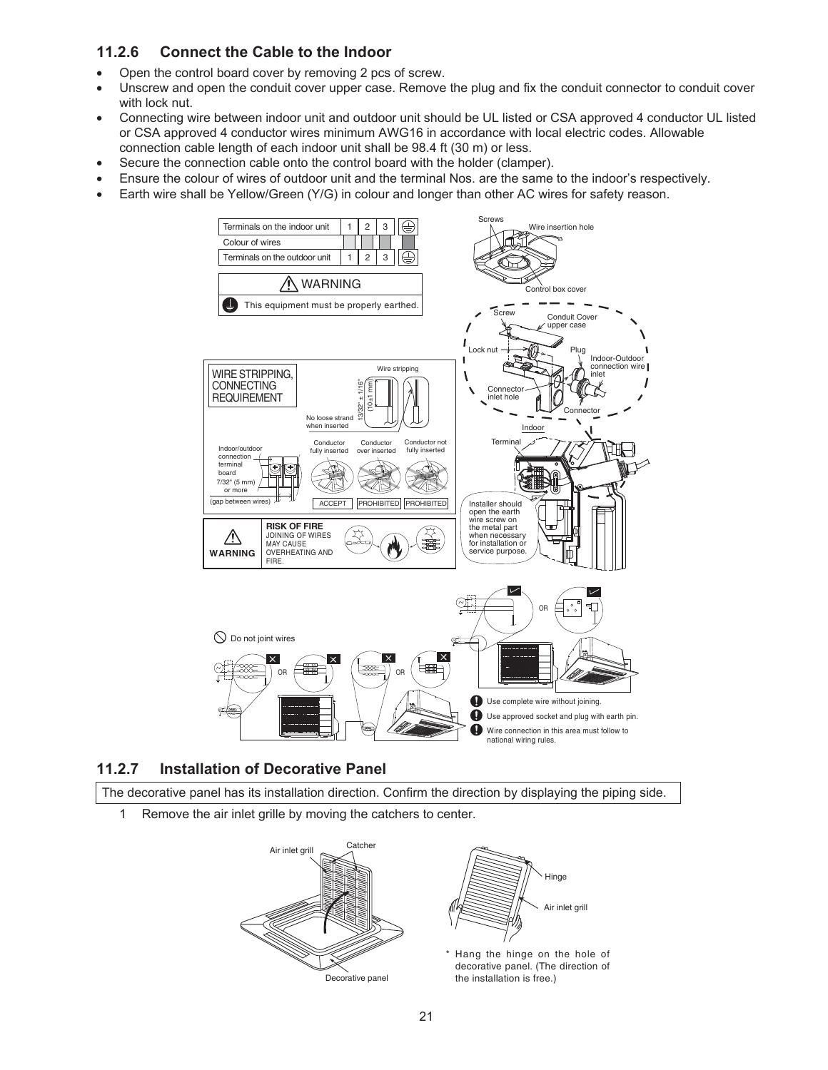# **11.2.6 Connect the Cable to the Indoor**

- Open the control board cover by removing 2 pcs of screw.
- Unscrew and open the conduit cover upper case. Remove the plug and fix the conduit connector to conduit cover with lock nut.
- Connecting wire between indoor unit and outdoor unit should be UL listed or CSA approved 4 conductor UL listed or CSA approved 4 conductor wires minimum AWG16 in accordance with local electric codes. Allowable connection cable length of each indoor unit shall be 98.4 ft (30 m) or less.
- Secure the connection cable onto the control board with the holder (clamper).
- Ensure the colour of wires of outdoor unit and the terminal Nos. are the same to the indoor's respectively.
- Earth wire shall be Yellow/Green (Y/G) in colour and longer than other AC wires for safety reason.



# **11.2.7 Installation of Decorative Panel**

The decorative panel has its installation direction. Confirm the direction by displaying the piping side.

1 Remove the air inlet grille by moving the catchers to center.